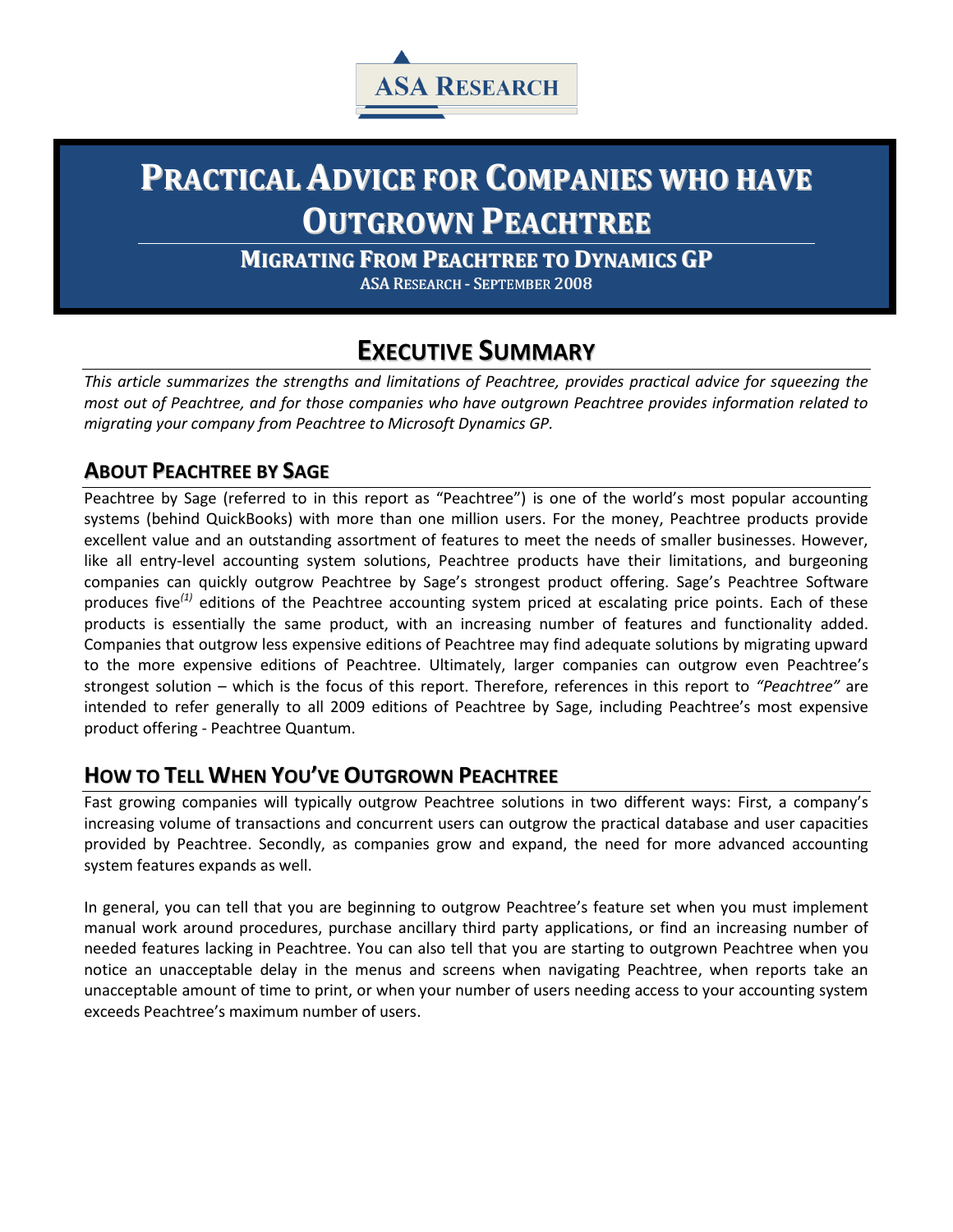

# **PRACTICAL ADVICE FOR COMPANIES WHO HAVE OUTGROWN PEACHTREE**

**MIGRATING FROM PEACHTREE TO DYNAMICS GP**

ASA RESEARCH - SEPTEMBER 2008

## **EXECUTIVE SUMMARY**

*This article summarizes the strengths and limitations of Peachtree, provides practical advice for squeezing the most out of Peachtree, and for those companies who have outgrown Peachtree provides information related to migrating your company from Peachtree to Microsoft Dynamics GP.*

#### **ABOUT PEACHTREE BY SAGE**

Peachtree by Sage (referred to in this report as "Peachtree") is one of the world's most popular accounting systems (behind QuickBooks) with more than one million users. For the money, Peachtree products provide excellent value and an outstanding assortment of features to meet the needs of smaller businesses. However, like all entry-level accounting system solutions, Peachtree products have their limitations, and burgeoning companies can quickly outgrow Peachtree by Sage's strongest product offering. Sage's Peachtree Software produces five*(1)* editions of the Peachtree accounting system priced at escalating price points. Each of these products is essentially the same product, with an increasing number of features and functionality added. Companies that outgrow less expensive editions of Peachtree may find adequate solutions by migrating upward to the more expensive editions of Peachtree. Ultimately, larger companies can outgrow even Peachtree's strongest solution – which is the focus of this report. Therefore, references in this report to *"Peachtree"* are intended to refer generally to all 2009 editions of Peachtree by Sage, including Peachtree's most expensive product offering - Peachtree Quantum.

#### **HOW TO TELL WHEN YOU'VE OUTGROWN PEACHTREE**

Fast growing companies will typically outgrow Peachtree solutions in two different ways: First, a company's increasing volume of transactions and concurrent users can outgrow the practical database and user capacities provided by Peachtree. Secondly, as companies grow and expand, the need for more advanced accounting system features expands as well.

In general, you can tell that you are beginning to outgrow Peachtree's feature set when you must implement manual work around procedures, purchase ancillary third party applications, or find an increasing number of needed features lacking in Peachtree. You can also tell that you are starting to outgrown Peachtree when you notice an unacceptable delay in the menus and screens when navigating Peachtree, when reports take an unacceptable amount of time to print, or when your number of users needing access to your accounting system exceeds Peachtree's maximum number of users.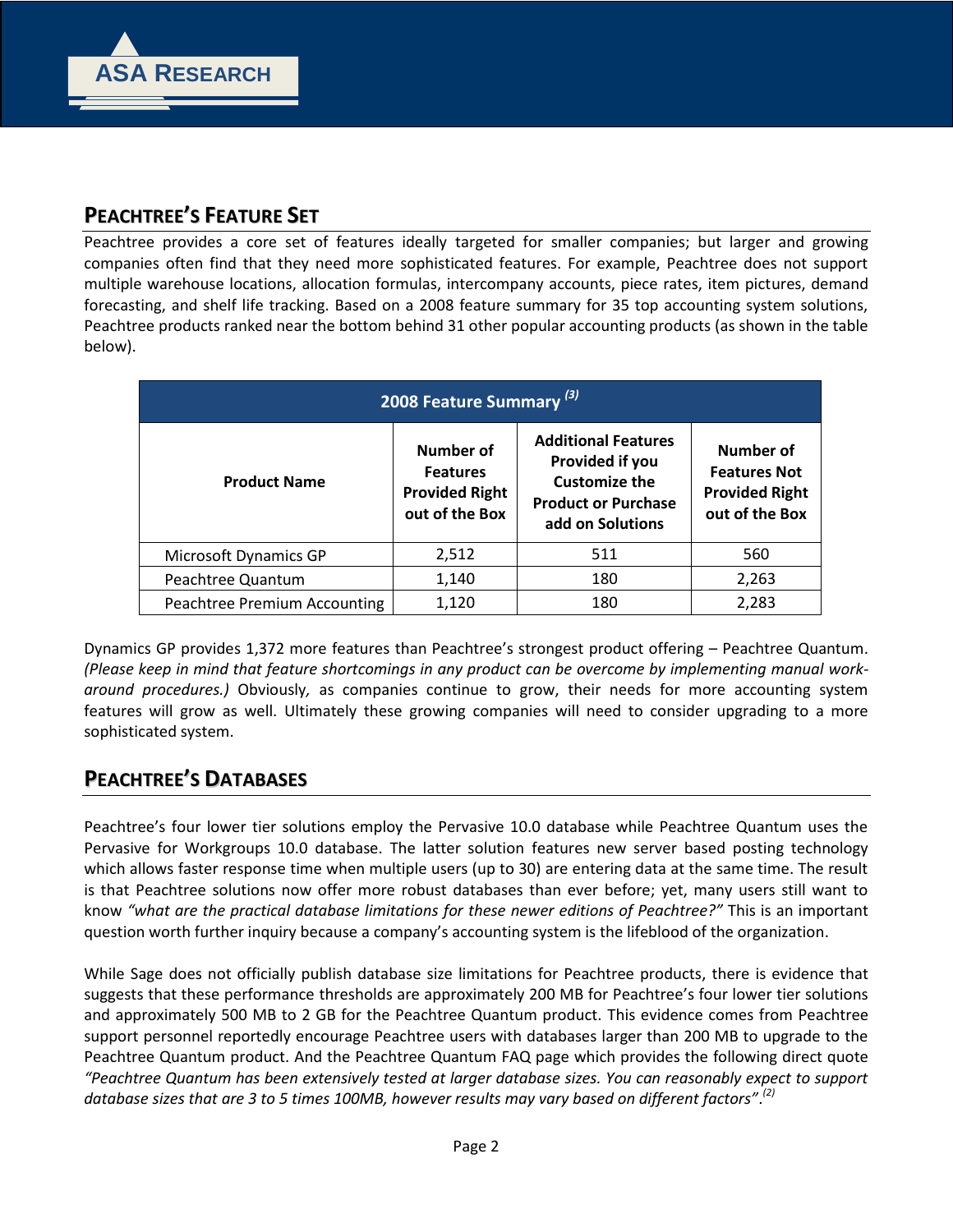

### **PEACHTREE'S FEATURE SET**

Peachtree provides a core set of features ideally targeted for smaller companies; but larger and growing companies often find that they need more sophisticated features. For example, Peachtree does not support multiple warehouse locations, allocation formulas, intercompany accounts, piece rates, item pictures, demand forecasting, and shelf life tracking. Based on a 2008 feature summary for 35 top accounting system solutions, Peachtree products ranked near the bottom behind 31 other popular accounting products (as shown in the table below).

|                              | 2008 Feature Summary <sup>(3)</sup>                                     |                                                                                                                         |                                                                             |  |
|------------------------------|-------------------------------------------------------------------------|-------------------------------------------------------------------------------------------------------------------------|-----------------------------------------------------------------------------|--|
| <b>Product Name</b>          | Number of<br><b>Features</b><br><b>Provided Right</b><br>out of the Box | <b>Additional Features</b><br>Provided if you<br><b>Customize the</b><br><b>Product or Purchase</b><br>add on Solutions | Number of<br><b>Features Not</b><br><b>Provided Right</b><br>out of the Box |  |
| Microsoft Dynamics GP        | 2,512                                                                   | 511                                                                                                                     | 560                                                                         |  |
| Peachtree Quantum            | 1,140                                                                   | 180                                                                                                                     | 2,263                                                                       |  |
| Peachtree Premium Accounting | 1,120                                                                   | 180                                                                                                                     | 2,283                                                                       |  |

Dynamics GP provides 1,372 more features than Peachtree's strongest product offering – Peachtree Quantum. *(Please keep in mind that feature shortcomings in any product can be overcome by implementing manual workaround procedures.)* Obviously*,* as companies continue to grow, their needs for more accounting system features will grow as well. Ultimately these growing companies will need to consider upgrading to a more sophisticated system.

#### **PEACHTREE'S DATABASES**

Peachtree's four lower tier solutions employ the Pervasive 10.0 database while Peachtree Quantum uses the Pervasive for Workgroups 10.0 database. The latter solution features new server based posting technology which allows faster response time when multiple users (up to 30) are entering data at the same time. The result is that Peachtree solutions now offer more robust databases than ever before; yet, many users still want to know *"what are the practical database limitations for these newer editions of Peachtree?"* This is an important question worth further inquiry because a company's accounting system is the lifeblood of the organization.

While Sage does not officially publish database size limitations for Peachtree products, there is evidence that suggests that these performance thresholds are approximately 200 MB for Peachtree's four lower tier solutions and approximately 500 MB to 2 GB for the Peachtree Quantum product. This evidence comes from Peachtree support personnel reportedly encourage Peachtree users with databases larger than 200 MB to upgrade to the Peachtree Quantum product. And the Peachtree Quantum FAQ page which provides the following direct quote *"Peachtree Quantum has been extensively tested at larger database sizes. You can reasonably expect to support database sizes that are 3 to 5 times 100MB, however results may vary based on different factors"*. *(2)*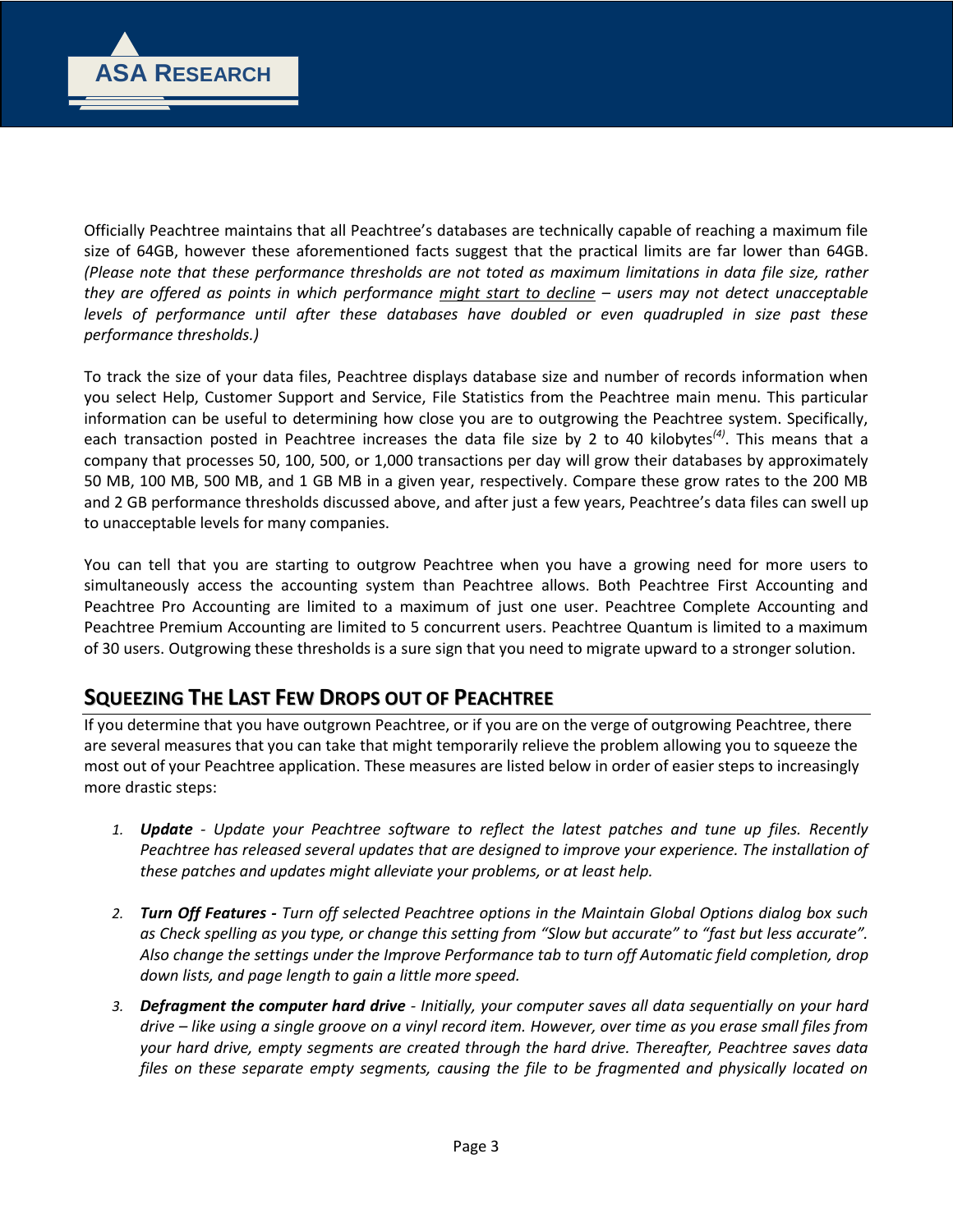

Officially Peachtree maintains that all Peachtree's databases are technically capable of reaching a maximum file size of 64GB, however these aforementioned facts suggest that the practical limits are far lower than 64GB. *(Please note that these performance thresholds are not toted as maximum limitations in data file size, rather they are offered as points in which performance might start to decline – users may not detect unacceptable levels of performance until after these databases have doubled or even quadrupled in size past these performance thresholds.)*

To track the size of your data files, Peachtree displays database size and number of records information when you select Help, Customer Support and Service, File Statistics from the Peachtree main menu. This particular information can be useful to determining how close you are to outgrowing the Peachtree system. Specifically, each transaction posted in Peachtree increases the data file size by 2 to 40 kilobytes*(4)*. This means that a company that processes 50, 100, 500, or 1,000 transactions per day will grow their databases by approximately 50 MB, 100 MB, 500 MB, and 1 GB MB in a given year, respectively. Compare these grow rates to the 200 MB and 2 GB performance thresholds discussed above, and after just a few years, Peachtree's data files can swell up to unacceptable levels for many companies.

You can tell that you are starting to outgrow Peachtree when you have a growing need for more users to simultaneously access the accounting system than Peachtree allows. Both Peachtree First Accounting and Peachtree Pro Accounting are limited to a maximum of just one user. Peachtree Complete Accounting and Peachtree Premium Accounting are limited to 5 concurrent users. Peachtree Quantum is limited to a maximum of 30 users. Outgrowing these thresholds is a sure sign that you need to migrate upward to a stronger solution.

#### **SQUEEZING THE LAST FEW DROPS OUT OF PEACHTREE**

If you determine that you have outgrown Peachtree, or if you are on the verge of outgrowing Peachtree, there are several measures that you can take that might temporarily relieve the problem allowing you to squeeze the most out of your Peachtree application. These measures are listed below in order of easier steps to increasingly more drastic steps:

- *1. Update - Update your Peachtree software to reflect the latest patches and tune up files. Recently Peachtree has released several updates that are designed to improve your experience. The installation of these patches and updates might alleviate your problems, or at least help.*
- *2. Turn Off Features - Turn off selected Peachtree options in the Maintain Global Options dialog box such as Check spelling as you type, or change this setting from "Slow but accurate" to "fast but less accurate". Also change the settings under the Improve Performance tab to turn off Automatic field completion, drop down lists, and page length to gain a little more speed.*
- *3. Defragment the computer hard drive - Initially, your computer saves all data sequentially on your hard drive – like using a single groove on a vinyl record item. However, over time as you erase small files from your hard drive, empty segments are created through the hard drive. Thereafter, Peachtree saves data files on these separate empty segments, causing the file to be fragmented and physically located on*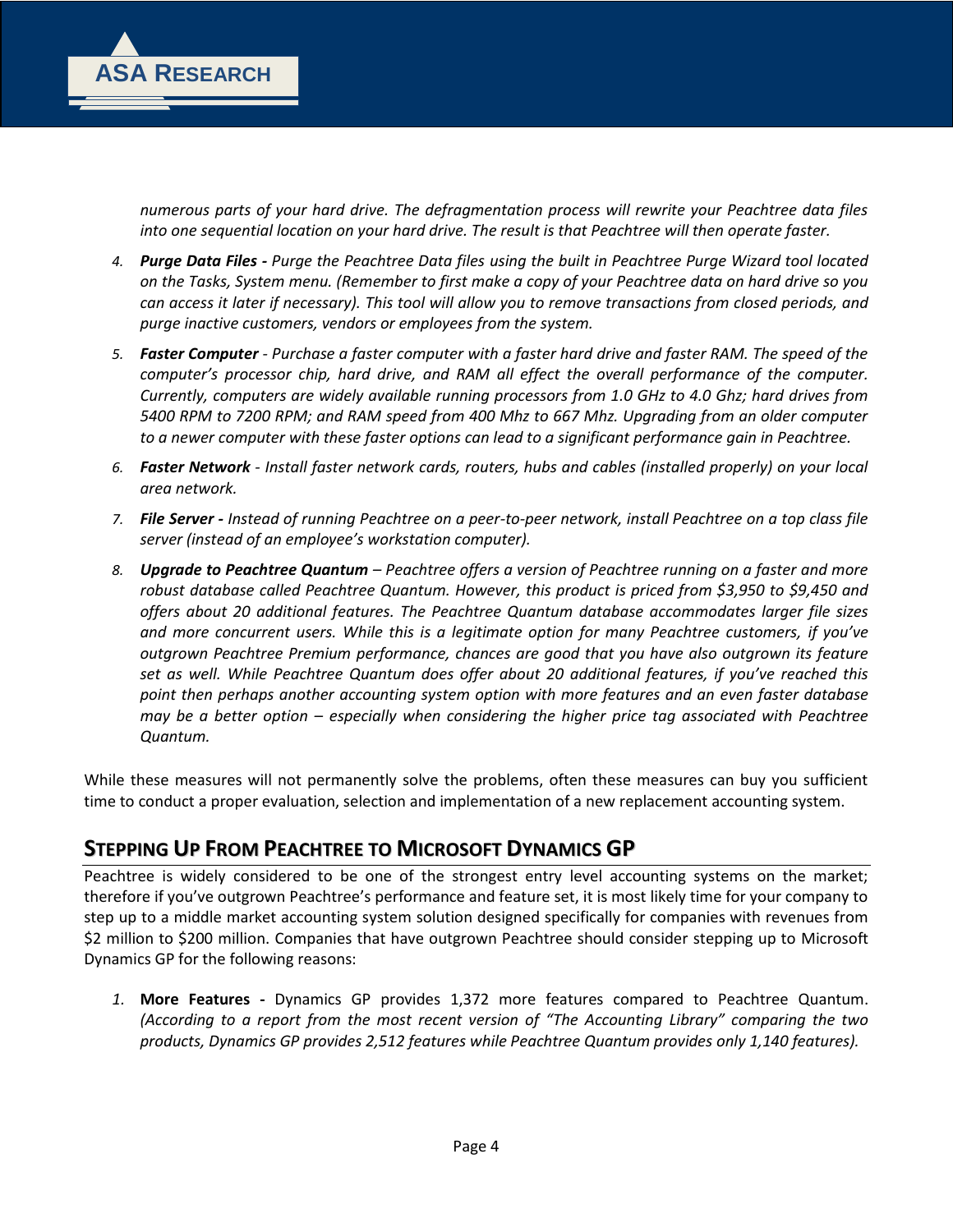

*numerous parts of your hard drive. The defragmentation process will rewrite your Peachtree data files into one sequential location on your hard drive. The result is that Peachtree will then operate faster.* 

- *4. Purge Data Files - Purge the Peachtree Data files using the built in Peachtree Purge Wizard tool located on the Tasks, System menu. (Remember to first make a copy of your Peachtree data on hard drive so you can access it later if necessary). This tool will allow you to remove transactions from closed periods, and purge inactive customers, vendors or employees from the system.*
- *5. Faster Computer - Purchase a faster computer with a faster hard drive and faster RAM. The speed of the computer's processor chip, hard drive, and RAM all effect the overall performance of the computer. Currently, computers are widely available running processors from 1.0 GHz to 4.0 Ghz; hard drives from 5400 RPM to 7200 RPM; and RAM speed from 400 Mhz to 667 Mhz. Upgrading from an older computer to a newer computer with these faster options can lead to a significant performance gain in Peachtree.*
- *6. Faster Network - Install faster network cards, routers, hubs and cables (installed properly) on your local area network.*
- *7. File Server - Instead of running Peachtree on a peer-to-peer network, install Peachtree on a top class file server (instead of an employee's workstation computer).*
- *8. Upgrade to Peachtree Quantum – Peachtree offers a version of Peachtree running on a faster and more robust database called Peachtree Quantum. However, this product is priced from \$3,950 to \$9,450 and offers about 20 additional features. The Peachtree Quantum database accommodates larger file sizes and more concurrent users. While this is a legitimate option for many Peachtree customers, if you've outgrown Peachtree Premium performance, chances are good that you have also outgrown its feature set as well. While Peachtree Quantum does offer about 20 additional features, if you've reached this point then perhaps another accounting system option with more features and an even faster database may be a better option – especially when considering the higher price tag associated with Peachtree Quantum.*

While these measures will not permanently solve the problems, often these measures can buy you sufficient time to conduct a proper evaluation, selection and implementation of a new replacement accounting system.

#### **STEPPING UP FROM PEACHTREE TO MICROSOFT DYNAMICS GP**

Peachtree is widely considered to be one of the strongest entry level accounting systems on the market; therefore if you've outgrown Peachtree's performance and feature set, it is most likely time for your company to step up to a middle market accounting system solution designed specifically for companies with revenues from \$2 million to \$200 million. Companies that have outgrown Peachtree should consider stepping up to Microsoft Dynamics GP for the following reasons:

*1.* **More Features -** Dynamics GP provides 1,372 more features compared to Peachtree Quantum. *(According to a report from the most recent version of "The Accounting Library" comparing the two products, Dynamics GP provides 2,512 features while Peachtree Quantum provides only 1,140 features).*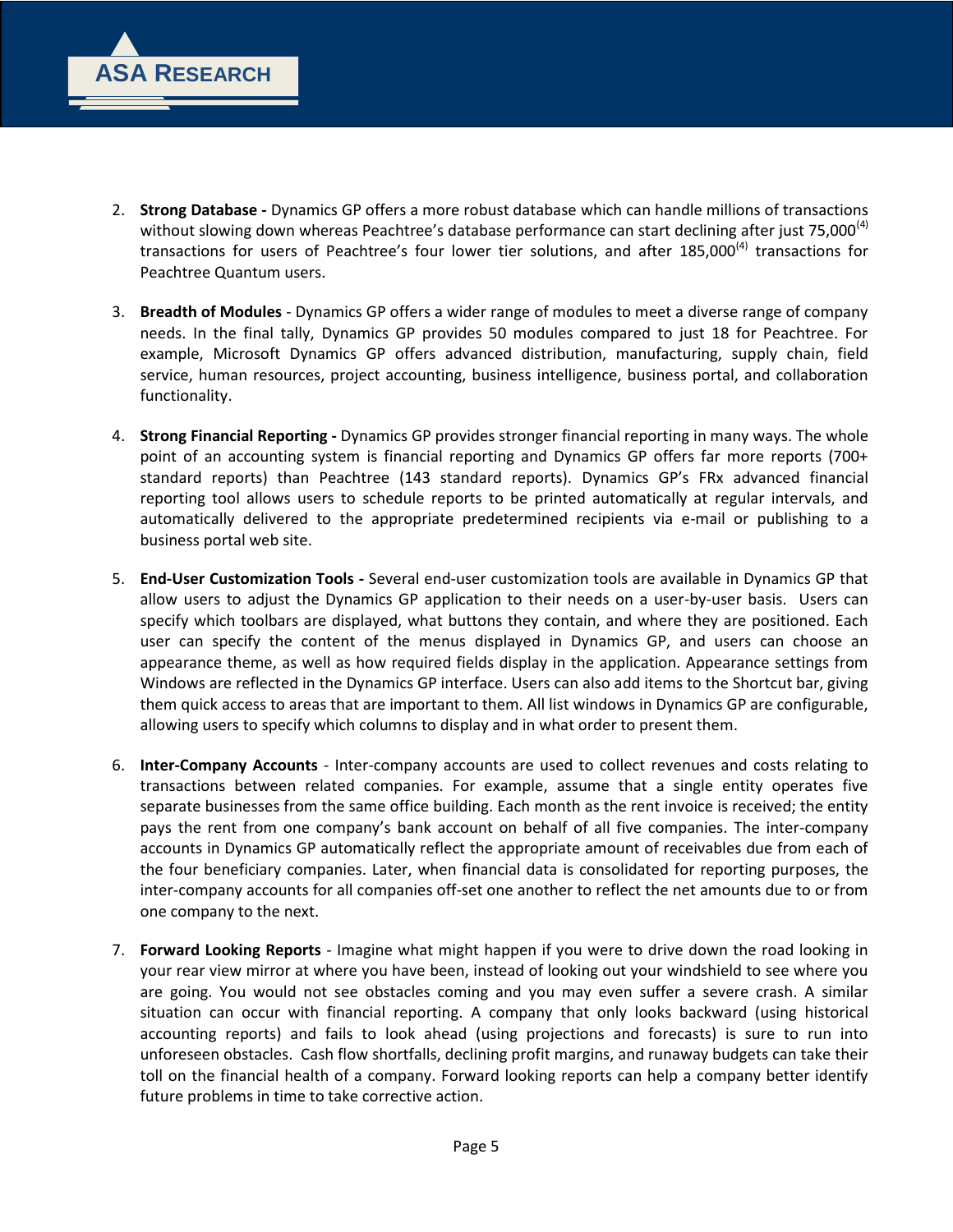

- 2. **Strong Database -** Dynamics GP offers a more robust database which can handle millions of transactions without slowing down whereas Peachtree's database performance can start declining after just 75,000<sup>(4)</sup> transactions for users of Peachtree's four lower tier solutions, and after 185,000<sup>(4)</sup> transactions for Peachtree Quantum users.
- 3. **Breadth of Modules** Dynamics GP offers a wider range of modules to meet a diverse range of company needs. In the final tally, Dynamics GP provides 50 modules compared to just 18 for Peachtree. For example, Microsoft Dynamics GP offers advanced distribution, manufacturing, supply chain, field service, human resources, project accounting, business intelligence, business portal, and collaboration functionality.
- 4. **Strong Financial Reporting -** Dynamics GP provides stronger financial reporting in many ways. The whole point of an accounting system is financial reporting and Dynamics GP offers far more reports (700+ standard reports) than Peachtree (143 standard reports). Dynamics GP's FRx advanced financial reporting tool allows users to schedule reports to be printed automatically at regular intervals, and automatically delivered to the appropriate predetermined recipients via e-mail or publishing to a business portal web site.
- 5. **End-User Customization Tools -** Several end-user customization tools are available in Dynamics GP that allow users to adjust the Dynamics GP application to their needs on a user-by-user basis. Users can specify which toolbars are displayed, what buttons they contain, and where they are positioned. Each user can specify the content of the menus displayed in Dynamics GP, and users can choose an appearance theme, as well as how required fields display in the application. Appearance settings from Windows are reflected in the Dynamics GP interface. Users can also add items to the Shortcut bar, giving them quick access to areas that are important to them. All list windows in Dynamics GP are configurable, allowing users to specify which columns to display and in what order to present them.
- 6. **Inter-Company Accounts** Inter-company accounts are used to collect revenues and costs relating to transactions between related companies. For example, assume that a single entity operates five separate businesses from the same office building. Each month as the rent invoice is received; the entity pays the rent from one company's bank account on behalf of all five companies. The inter-company accounts in Dynamics GP automatically reflect the appropriate amount of receivables due from each of the four beneficiary companies. Later, when financial data is consolidated for reporting purposes, the inter-company accounts for all companies off-set one another to reflect the net amounts due to or from one company to the next.
- 7. **Forward Looking Reports** Imagine what might happen if you were to drive down the road looking in your rear view mirror at where you have been, instead of looking out your windshield to see where you are going. You would not see obstacles coming and you may even suffer a severe crash. A similar situation can occur with financial reporting. A company that only looks backward (using historical accounting reports) and fails to look ahead (using projections and forecasts) is sure to run into unforeseen obstacles. Cash flow shortfalls, declining profit margins, and runaway budgets can take their toll on the financial health of a company. Forward looking reports can help a company better identify future problems in time to take corrective action.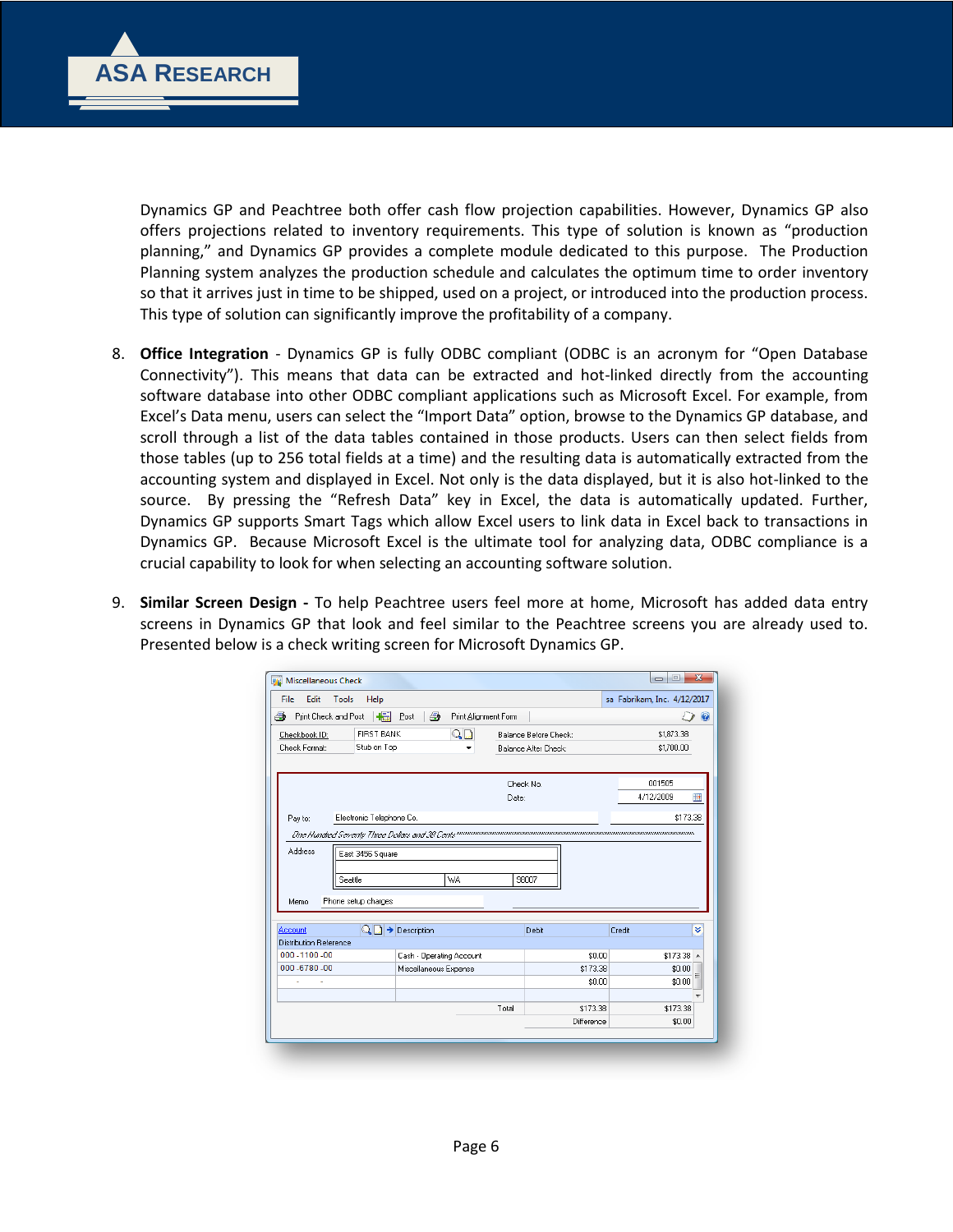

Dynamics GP and Peachtree both offer cash flow projection capabilities. However, Dynamics GP also offers projections related to inventory requirements. This type of solution is known as "production planning," and Dynamics GP provides a complete module dedicated to this purpose. The Production Planning system analyzes the production schedule and calculates the optimum time to order inventory so that it arrives just in time to be shipped, used on a project, or introduced into the production process. This type of solution can significantly improve the profitability of a company.

- 8. **Office Integration** Dynamics GP is fully ODBC compliant (ODBC is an acronym for "Open Database Connectivity"). This means that data can be extracted and hot-linked directly from the accounting software database into other ODBC compliant applications such as Microsoft Excel. For example, from Excel's Data menu, users can select the "Import Data" option, browse to the Dynamics GP database, and scroll through a list of the data tables contained in those products. Users can then select fields from those tables (up to 256 total fields at a time) and the resulting data is automatically extracted from the accounting system and displayed in Excel. Not only is the data displayed, but it is also hot-linked to the source. By pressing the "Refresh Data" key in Excel, the data is automatically updated. Further, Dynamics GP supports Smart Tags which allow Excel users to link data in Excel back to transactions in Dynamics GP. Because Microsoft Excel is the ultimate tool for analyzing data, ODBC compliance is a crucial capability to look for when selecting an accounting software solution.
- 9. **Similar Screen Design -** To help Peachtree users feel more at home, Microsoft has added data entry screens in Dynamics GP that look and feel similar to the Peachtree screens you are already used to. Presented below is a check writing screen for Microsoft Dynamics GP.

| Print Check and Post<br>8                | +<br>£.<br>Post                                          | Print Alignment Form |                                               |                          | $\circledcirc$ |
|------------------------------------------|----------------------------------------------------------|----------------------|-----------------------------------------------|--------------------------|----------------|
| Checkbook ID:<br>Check Format:           | $\mathbb{Q} \square$<br><b>FIRST BANK</b><br>Stub on Top |                      | Balance Before Check:<br>Balance After Check: | \$1.873.38<br>\$1,700.00 |                |
|                                          |                                                          | Date:                | Check No.                                     | 001505<br>4/12/2009      | 厘              |
| Pay to:                                  | Electronic Telephone Co.                                 |                      |                                               | \$173.38                 |                |
| Address<br>Seattle                       | East 3456 Square<br>WA                                   |                      | 98007                                         |                          |                |
| Phone setup charges<br>Memo              |                                                          |                      |                                               |                          |                |
| Account<br><b>Distribution Reference</b> | $\mathbb{Q} \boxdot \rightarrow$ Description             |                      | Debit                                         | Credit                   | ¥              |
| 000 - 1100 - 00                          | Cash - Operating Account                                 |                      | \$0.00                                        | $$173.38$ $*$            |                |
| 000 - 6780 - 00                          | Miscellaneous Expense                                    |                      | \$173.38                                      | \$0.00                   |                |
|                                          |                                                          |                      | \$0.00                                        | \$0.00                   |                |
|                                          |                                                          | Total                | \$173.38                                      | \$173.38                 |                |
|                                          |                                                          |                      |                                               |                          |                |